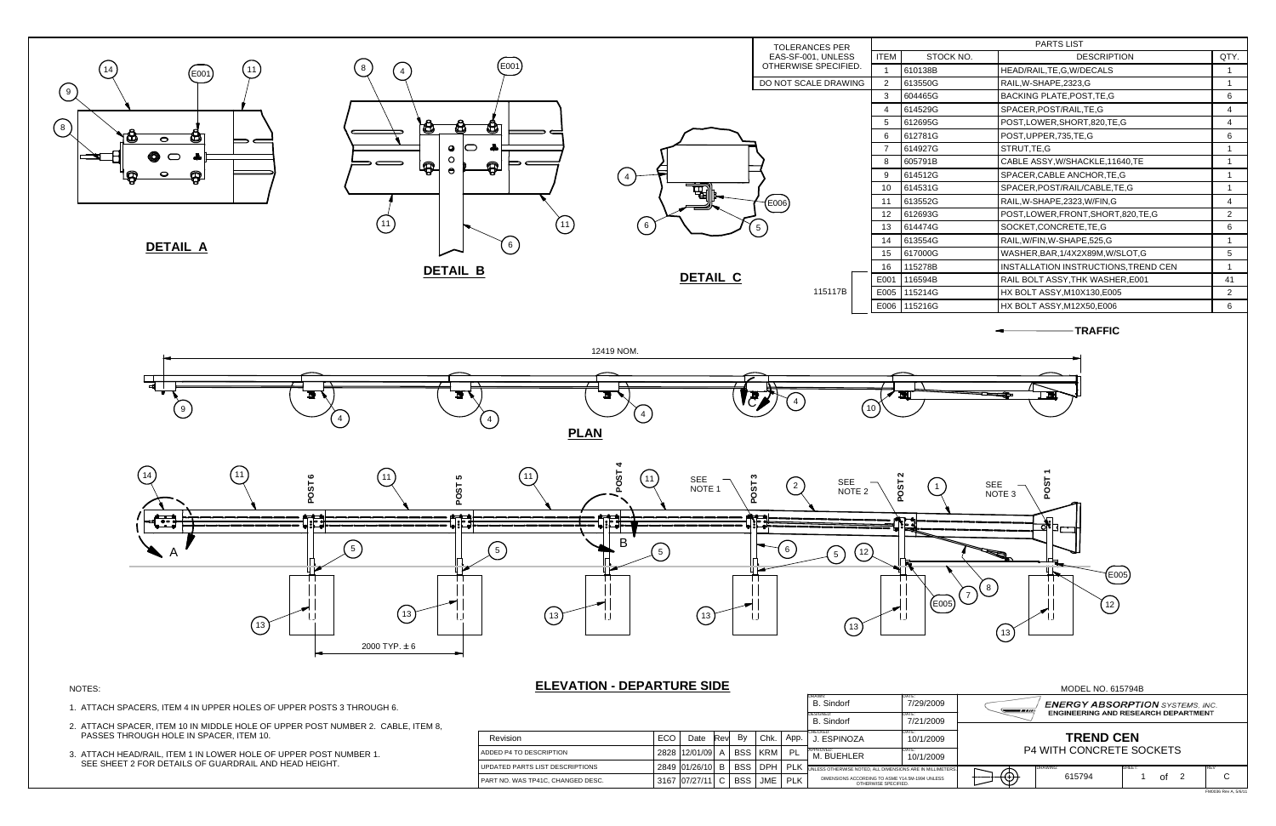

## MODEL NO. 615794B **ENERGY ABSORPTION** SYSTEMS, INC. ---ENGINEERING AND RESEARCH DEPARTMENT **TREND CEN** P4 WITH CONCRETE SOCKETS **NETERS** DRAWING:: ISHEET: REVIEW ISHEET: ISHEET: ISHEET: ISHEET: ISHEET: ISHEET: ISHEET: ISHEET: ISHEET: ISHEET: ISHEET: ISHEET: ISHEET: ISHEET: ISHEET: ISHEET: ISHEET: ISHEET: ISHEET: ISHEET: ISHEET: ISHEET: ISHEET: ISHEET: ISHEET: ISHEE <del>D @</del> 615794 $\mathsf{C}$ 1 of 2 | C FM0036 Rev A, 5/6/11

| <b>PARTS LIST</b> |                                      |                |  |  |  |  |
|-------------------|--------------------------------------|----------------|--|--|--|--|
| TOCK NO.          | DESCRIPTION                          |                |  |  |  |  |
| В                 | HEAD/RAIL, TE, G, W/DECALS           | 1              |  |  |  |  |
| G                 | RAIL, W-SHAPE, 2323, G               | 1              |  |  |  |  |
| G                 | <b>BACKING PLATE, POST, TE, G</b>    | 6              |  |  |  |  |
| G                 | SPACER, POST/RAIL, TE, G             | 4              |  |  |  |  |
| G                 | POST,LOWER,SHORT,820,TE,G            | 4              |  |  |  |  |
| G                 | POST, UPPER, 735, TE, G              | 6              |  |  |  |  |
| G                 | STRUT,TE,G                           | 1              |  |  |  |  |
| B                 | CABLE ASSY, W/SHACKLE, 11640, TE     | 1              |  |  |  |  |
| G                 | SPACER, CABLE ANCHOR, TE, G          | 1              |  |  |  |  |
| G                 | SPACER, POST/RAIL/CABLE, TE, G       | 1              |  |  |  |  |
| G                 | RAIL, W-SHAPE, 2323, W/FIN, G        | 4              |  |  |  |  |
| G                 | POST,LOWER,FRONT,SHORT,820,TE,G      | $\overline{2}$ |  |  |  |  |
| G                 | SOCKET,CONCRETE,TE,G                 | 6              |  |  |  |  |
| G                 | RAIL, W/FIN, W-SHAPE, 525, G         | 1              |  |  |  |  |
| G                 | WASHER, BAR, 1/4X2X89M, W/SLOT, G    | 5              |  |  |  |  |
| B                 | INSTALLATION INSTRUCTIONS, TREND CEN | 1              |  |  |  |  |
| B                 | RAIL BOLT ASSY, THK WASHER, E001     | 41             |  |  |  |  |
| G                 | HX BOLT ASSY, M10X130, E005          | 2              |  |  |  |  |
| G                 | HX BOLT ASSY, M12X50, E006           | 6              |  |  |  |  |
|                   |                                      |                |  |  |  |  |

|                                            |        |               |             |            |            |            | B. Sindorf                                                              | 7/29/2009          |
|--------------------------------------------|--------|---------------|-------------|------------|------------|------------|-------------------------------------------------------------------------|--------------------|
|                                            |        |               |             |            |            |            | <b>DESIGNED:</b><br><b>B.</b> Sindorf                                   | DATE:<br>7/21/2009 |
| Revision                                   | ECO    | Date          | <b>Revl</b> | By         | Chk.       | App.       | CHECKED:<br>J. ESPINOZA                                                 | DATE:<br>10/1/2009 |
| LADDED P4 TO DESCRIPTION                   | 2828 l | 12/01/09      | A           | BSS I      | <b>KRM</b> | PL         | APPROVED:<br>M. BUEHLER                                                 | DATE:<br>10/1/2009 |
| UPDATED PARTS LIST DESCRIPTIONS            |        | 2849 01/26/10 | B           | <b>BSS</b> | <b>DPH</b> | PLK        | UNLESS OTHERWISE NOTED, ALL DIMENSIONS ARE IN MILLIMETE                 |                    |
| <b>I PART NO. WAS TP41C. CHANGED DESC.</b> |        | 3167 07/27/11 |             | <b>BSS</b> | JME        | <b>PLK</b> | DIMENSIONS ACCORDING TO ASME Y14.5M-1994 UNLESS<br>OTHERWISE SPECIFIED. |                    |

- 1. ATTACH SPACERS, ITEM 4 IN UPPER HOLES OF UPPER POSTS 3 THROUGH 6.
- 2. ATTACH SPACER, ITEM 10 IN MIDDLE HOLE OF UPPER POST NUMBER 2. CABLE, ITEM 8, PASSES THROUGH HOLE IN SPACER, ITEM 10.
- 3. ATTACH HEAD/RAIL, ITEM 1 IN LOWER HOLE OF UPPER POST NUMBER 1. SEE SHEET 2 FOR DETAILS OF GUARDRAIL AND HEAD HEIGHT.